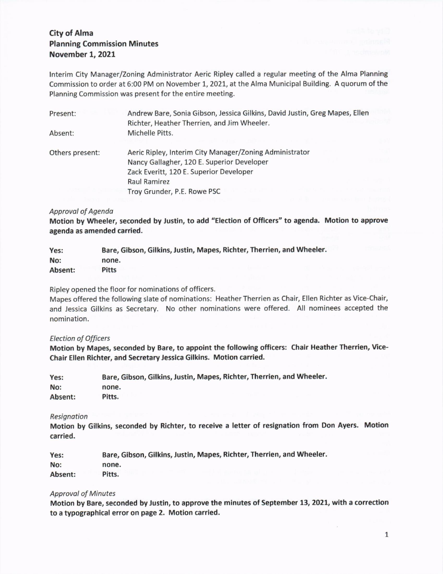# City of Alma Planning Commission Minutes November 1, 2021

lnterim City Manager/Zoning Administrator Aeric Ripley called a regular meeting of the Alma Planning Commission to order at 5:00 PM on November 1, 2021, at the Alma Municipal Building. A quorum of the Planning Commlssion was present for the entire meeting.

| Present:        | Andrew Bare, Sonia Gibson, Jessica Gilkins, David Justin, Greg Mapes, Ellen |
|-----------------|-----------------------------------------------------------------------------|
|                 | Richter, Heather Therrien, and Jim Wheeler.                                 |
| Absent:         | Michelle Pitts.                                                             |
| Others present: | Aeric Ripley, Interim City Manager/Zoning Administrator                     |
|                 | Nancy Gallagher, 120 E. Superior Developer                                  |
|                 | Zack Everitt, 120 E. Superior Developer                                     |
|                 | Raul Ramirez                                                                |
|                 | Troy Grunder, P.E. Rowe PSC                                                 |

## Approval of Agenda

Motion by Wheeler, seconded by Justin, to add "Election of Officers" to agenda. Motion to approve agenda as amended carried.

| Yes:    | Bare, Gibson, Gilkins, Justin, Mapes, Richter, Therrien, and Wheeler. |
|---------|-----------------------------------------------------------------------|
| No:     | none.                                                                 |
| Absent: | <b>Pitts</b>                                                          |

Ripley opened the floor for nominations of officers.

Mapes offered the following slate of nominations: Heather Therrien as Chair, Ellen Richter as Vice-Chair, and Jessica Gilkins as Secretary. No other nominations were offered. All nominees accepted the nomination.

#### Election of Officers

Motion by Mapes, seconded by Bare, to appoint the following officers: Chair Heather Therrien, Vice-Chair Ellen Richter, and Secretary Jesslca Gilkins. Motion carried.

| Yes:    | Bare, Gibson, Gilkins, Justin, Mapes, Richter, Therrien, and Wheeler. |  |
|---------|-----------------------------------------------------------------------|--|
| No:     | none.                                                                 |  |
| Absent: | Pitts.                                                                |  |

#### **Resignation**

Motion by Gilkins, seconded by Richter, to receive a letter of reslgnation from Don Ayers. Motion carried.

Yes: Bare, Gibson, Gilkins, Justin, Mapes, Richter, Therrlen, and Wheeler. No: Absent: none. Pitts.

## **Approval of Minutes**

Motion by Bare, seconded by Justin, to approve the minutes of September 13, 2021, with a correction to a typographical error on page 2, Motion carrled.